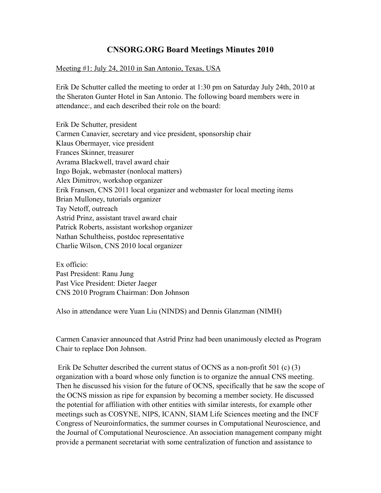# **CNSORG.ORG Board Meetings Minutes 2010**

### Meeting #1: July 24, 2010 in San Antonio, Texas, USA

Erik De Schutter called the meeting to order at 1:30 pm on Saturday July 24th, 2010 at the Sheraton Gunter Hotel in San Antonio. The following board members were in attendance:, and each described their role on the board:

Erik De Schutter, president Carmen Canavier, secretary and vice president, sponsorship chair Klaus Obermayer, vice president Frances Skinner, treasurer Avrama Blackwell, travel award chair Ingo Bojak, webmaster (nonlocal matters) Alex Dimitrov, workshop organizer Erik Fransen, CNS 2011 local organizer and webmaster for local meeting items Brian Mulloney, tutorials organizer Tay Netoff, outreach Astrid Prinz, assistant travel award chair Patrick Roberts, assistant workshop organizer Nathan Schultheiss, postdoc representative Charlie Wilson, CNS 2010 local organizer

Ex officio: Past President: Ranu Jung Past Vice President: Dieter Jaeger CNS 2010 Program Chairman: Don Johnson

Also in attendance were Yuan Liu (NINDS) and Dennis Glanzman (NIMH)

Carmen Canavier announced that Astrid Prinz had been unanimously elected as Program Chair to replace Don Johnson.

 Erik De Schutter described the current status of OCNS as a non-profit 501 (c) (3) organization with a board whose only function is to organize the annual CNS meeting. Then he discussed his vision for the future of OCNS, specifically that he saw the scope of the OCNS mission as ripe for expansion by becoming a member society. He discussed the potential for affiliation with other entities with similar interests, for example other meetings such as COSYNE, NIPS, ICANN, SIAM Life Sciences meeting and the INCF Congress of Neuroinformatics, the summer courses in Computational Neuroscience, and the Journal of Computational Neuroscience. An association management company might provide a permanent secretariat with some centralization of function and assistance to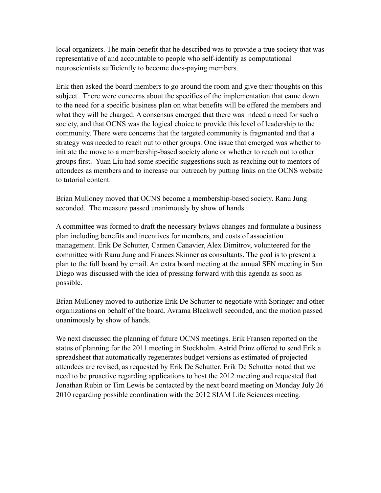local organizers. The main benefit that he described was to provide a true society that was representative of and accountable to people who self-identify as computational neuroscientists sufficiently to become dues-paying members.

Erik then asked the board members to go around the room and give their thoughts on this subject. There were concerns about the specifics of the implementation that came down to the need for a specific business plan on what benefits will be offered the members and what they will be charged. A consensus emerged that there was indeed a need for such a society, and that OCNS was the logical choice to provide this level of leadership to the community. There were concerns that the targeted community is fragmented and that a strategy was needed to reach out to other groups. One issue that emerged was whether to initiate the move to a membership-based society alone or whether to reach out to other groups first. Yuan Liu had some specific suggestions such as reaching out to mentors of attendees as members and to increase our outreach by putting links on the OCNS website to tutorial content.

Brian Mulloney moved that OCNS become a membership-based society. Ranu Jung seconded. The measure passed unanimously by show of hands.

A committee was formed to draft the necessary bylaws changes and formulate a business plan including benefits and incentives for members, and costs of association management. Erik De Schutter, Carmen Canavier, Alex Dimitrov, volunteered for the committee with Ranu Jung and Frances Skinner as consultants. The goal is to present a plan to the full board by email. An extra board meeting at the annual SFN meeting in San Diego was discussed with the idea of pressing forward with this agenda as soon as possible.

Brian Mulloney moved to authorize Erik De Schutter to negotiate with Springer and other organizations on behalf of the board. Avrama Blackwell seconded, and the motion passed unanimously by show of hands.

We next discussed the planning of future OCNS meetings. Erik Fransen reported on the status of planning for the 2011 meeting in Stockholm. Astrid Prinz offered to send Erik a spreadsheet that automatically regenerates budget versions as estimated of projected attendees are revised, as requested by Erik De Schutter. Erik De Schutter noted that we need to be proactive regarding applications to host the 2012 meeting and requested that Jonathan Rubin or Tim Lewis be contacted by the next board meeting on Monday July 26 2010 regarding possible coordination with the 2012 SIAM Life Sciences meeting.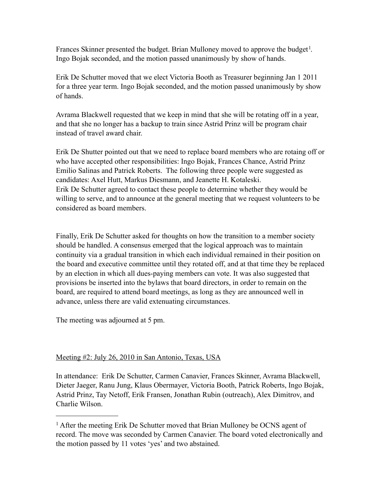Frances Skinner presented the budget. Brian Mulloney moved to approve the budget<sup>[1](#page-2-0)</sup>. Ingo Bojak seconded, and the motion passed unanimously by show of hands.

Erik De Schutter moved that we elect Victoria Booth as Treasurer beginning Jan 1 2011 for a three year term. Ingo Bojak seconded, and the motion passed unanimously by show of hands.

Avrama Blackwell requested that we keep in mind that she will be rotating off in a year, and that she no longer has a backup to train since Astrid Prinz will be program chair instead of travel award chair.

Erik De Shutter pointed out that we need to replace board members who are rotaing off or who have accepted other responsibilities: Ingo Bojak, Frances Chance, Astrid Prinz Emilio Salinas and Patrick Roberts. The following three people were suggested as candidates: Axel Hutt, Markus Diesmann, and Jeanette H. Kotaleski. Erik De Schutter agreed to contact these people to determine whether they would be willing to serve, and to announce at the general meeting that we request volunteers to be considered as board members.

Finally, Erik De Schutter asked for thoughts on how the transition to a member society should be handled. A consensus emerged that the logical approach was to maintain continuity via a gradual transition in which each individual remained in their position on the board and executive committee until they rotated off, and at that time they be replaced by an election in which all dues-paying members can vote. It was also suggested that provisions be inserted into the bylaws that board directors, in order to remain on the board, are required to attend board meetings, as long as they are announced well in advance, unless there are valid extenuating circumstances.

The meeting was adjourned at 5 pm.

### Meeting #2: July 26, 2010 in San Antonio, Texas, USA

In attendance: Erik De Schutter, Carmen Canavier, Frances Skinner, Avrama Blackwell, Dieter Jaeger, Ranu Jung, Klaus Obermayer, Victoria Booth, Patrick Roberts, Ingo Bojak, Astrid Prinz, Tay Netoff, Erik Fransen, Jonathan Rubin (outreach), Alex Dimitrov, and Charlie Wilson.

<span id="page-2-0"></span><sup>&</sup>lt;sup>1</sup> After the meeting Erik De Schutter moved that Brian Mulloney be OCNS agent of record. The move was seconded by Carmen Canavier. The board voted electronically and the motion passed by 11 votes 'yes' and two abstained.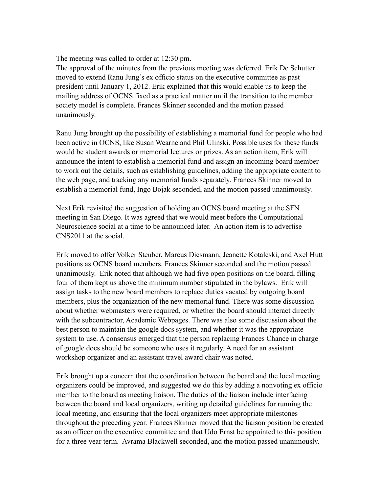The meeting was called to order at 12:30 pm.

The approval of the minutes from the previous meeting was deferred. Erik De Schutter moved to extend Ranu Jung's ex officio status on the executive committee as past president until January 1, 2012. Erik explained that this would enable us to keep the mailing address of OCNS fixed as a practical matter until the transition to the member society model is complete. Frances Skinner seconded and the motion passed unanimously.

Ranu Jung brought up the possibility of establishing a memorial fund for people who had been active in OCNS, like Susan Wearne and Phil Ulinski. Possible uses for these funds would be student awards or memorial lectures or prizes. As an action item, Erik will announce the intent to establish a memorial fund and assign an incoming board member to work out the details, such as establishing guidelines, adding the appropriate content to the web page, and tracking any memorial funds separately. Frances Skinner moved to establish a memorial fund, Ingo Bojak seconded, and the motion passed unanimously.

Next Erik revisited the suggestion of holding an OCNS board meeting at the SFN meeting in San Diego. It was agreed that we would meet before the Computational Neuroscience social at a time to be announced later. An action item is to advertise CNS2011 at the social.

Erik moved to offer Volker Steuber, Marcus Diesmann, Jeanette Kotaleski, and Axel Hutt positions as OCNS board members. Frances Skinner seconded and the motion passed unanimously. Erik noted that although we had five open positions on the board, filling four of them kept us above the minimum number stipulated in the bylaws. Erik will assign tasks to the new board members to replace duties vacated by outgoing board members, plus the organization of the new memorial fund. There was some discussion about whether webmasters were required, or whether the board should interact directly with the subcontractor, Academic Webpages. There was also some discussion about the best person to maintain the google docs system, and whether it was the appropriate system to use. A consensus emerged that the person replacing Frances Chance in charge of google docs should be someone who uses it regularly. A need for an assistant workshop organizer and an assistant travel award chair was noted.

Erik brought up a concern that the coordination between the board and the local meeting organizers could be improved, and suggested we do this by adding a nonvoting ex officio member to the board as meeting liaison. The duties of the liaison include interfacing between the board and local organizers, writing up detailed guidelines for running the local meeting, and ensuring that the local organizers meet appropriate milestones throughout the preceding year. Frances Skinner moved that the liaison position be created as an officer on the executive committee and that Udo Ernst be appointed to this position for a three year term. Avrama Blackwell seconded, and the motion passed unanimously.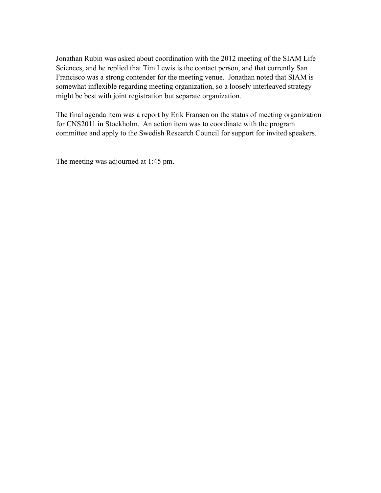Jonathan Rubin was asked about coordination with the 2012 meeting of the SIAM Life Sciences, and he replied that Tim Lewis is the contact person, and that currently San Francisco was a strong contender for the meeting venue. Jonathan noted that SIAM is somewhat inflexible regarding meeting organization, so a loosely interleaved strategy might be best with joint registration but separate organization.

The final agenda item was a report by Erik Fransen on the status of meeting organization for CNS2011 in Stockholm. An action item was to coordinate with the program committee and apply to the Swedish Research Council for support for invited speakers.

The meeting was adjourned at 1:45 pm.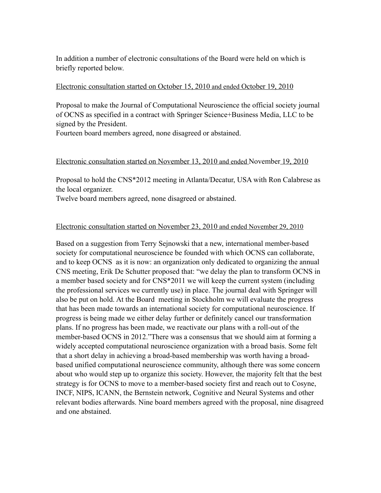In addition a number of electronic consultations of the Board were held on which is briefly reported below.

#### Electronic consultation started on October 15, 2010 and ended October 19, 2010

Proposal to make the Journal of Computational Neuroscience the official society journal of OCNS as specified in a contract with Springer Science+Business Media, LLC to be signed by the President.

Fourteen board members agreed, none disagreed or abstained.

#### Electronic consultation started on November 13, 2010 and ended November 19, 2010

Proposal to hold the CNS\*2012 meeting in Atlanta/Decatur, USA with Ron Calabrese as the local organizer.

Twelve board members agreed, none disagreed or abstained.

#### Electronic consultation started on November 23, 2010 and ended November 29, 2010

Based on a suggestion from Terry Sejnowski that a new, international member-based society for computational neuroscience be founded with which OCNS can collaborate, and to keep OCNS as it is now: an organization only dedicated to organizing the annual CNS meeting, Erik De Schutter proposed that: "we delay the plan to transform OCNS in a member based society and for CNS\*2011 we will keep the current system (including the professional services we currently use) in place. The journal deal with Springer will also be put on hold. At the Board meeting in Stockholm we will evaluate the progress that has been made towards an international society for computational neuroscience. If progress is being made we either delay further or definitely cancel our transformation plans. If no progress has been made, we reactivate our plans with a roll-out of the member-based OCNS in 2012."There was a consensus that we should aim at forming a widely accepted computational neuroscience organization with a broad basis. Some felt that a short delay in achieving a broad-based membership was worth having a broadbased unified computational neuroscience community, although there was some concern about who would step up to organize this society. However, the majority felt that the best strategy is for OCNS to move to a member-based society first and reach out to Cosyne, INCF, NIPS, ICANN, the Bernstein network, Cognitive and Neural Systems and other relevant bodies afterwards. Nine board members agreed with the proposal, nine disagreed and one abstained.